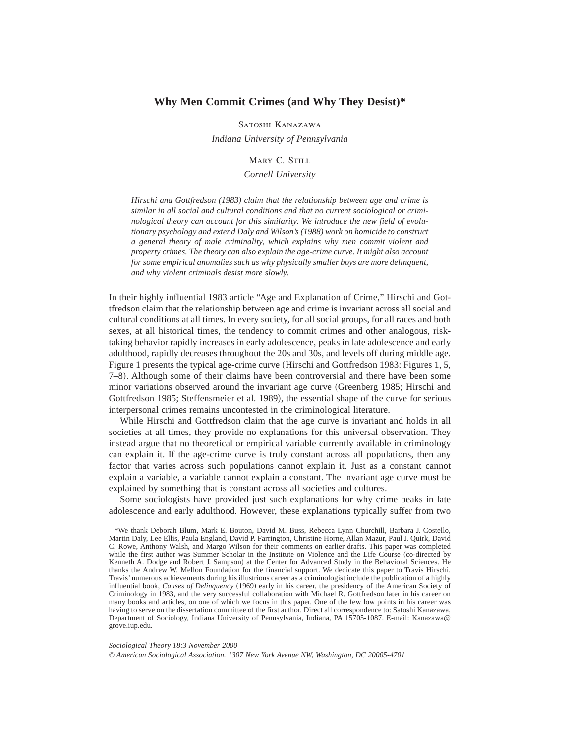# **Why Men Commit Crimes (and Why They Desist)\***

Satoshi Kanazawa *Indiana University of Pennsylvania*

MARY C. STILL

*Cornell University*

*Hirschi and Gottfredson (1983) claim that the relationship between age and crime is similar in all social and cultural conditions and that no current sociological or criminological theory can account for this similarity. We introduce the new field of evolutionary psychology and extend Daly and Wilson's (1988) work on homicide to construct a general theory of male criminality, which explains why men commit violent and property crimes. The theory can also explain the age-crime curve. It might also account for some empirical anomalies such as why physically smaller boys are more delinquent, and why violent criminals desist more slowly.*

In their highly influential 1983 article "Age and Explanation of Crime," Hirschi and Gottfredson claim that the relationship between age and crime is invariant across all social and cultural conditions at all times. In every society, for all social groups, for all races and both sexes, at all historical times, the tendency to commit crimes and other analogous, risktaking behavior rapidly increases in early adolescence, peaks in late adolescence and early adulthood, rapidly decreases throughout the 20s and 30s, and levels off during middle age. Figure 1 presents the typical age-crime curve (Hirschi and Gottfredson 1983: Figures 1, 5, 7–8). Although some of their claims have been controversial and there have been some minor variations observed around the invariant age curve (Greenberg 1985; Hirschi and Gottfredson 1985; Steffensmeier et al. 1989), the essential shape of the curve for serious interpersonal crimes remains uncontested in the criminological literature.

While Hirschi and Gottfredson claim that the age curve is invariant and holds in all societies at all times, they provide no explanations for this universal observation. They instead argue that no theoretical or empirical variable currently available in criminology can explain it. If the age-crime curve is truly constant across all populations, then any factor that varies across such populations cannot explain it. Just as a constant cannot explain a variable, a variable cannot explain a constant. The invariant age curve must be explained by something that is constant across all societies and cultures.

Some sociologists have provided just such explanations for why crime peaks in late adolescence and early adulthood. However, these explanations typically suffer from two

\*We thank Deborah Blum, Mark E. Bouton, David M. Buss, Rebecca Lynn Churchill, Barbara J. Costello, Martin Daly, Lee Ellis, Paula England, David P. Farrington, Christine Horne, Allan Mazur, Paul J. Quirk, David C. Rowe, Anthony Walsh, and Margo Wilson for their comments on earlier drafts. This paper was completed while the first author was Summer Scholar in the Institute on Violence and the Life Course (co-directed by Kenneth A. Dodge and Robert J. Sampson) at the Center for Advanced Study in the Behavioral Sciences. He thanks the Andrew W. Mellon Foundation for the financial support. We dedicate this paper to Travis Hirschi. Travis' numerous achievements during his illustrious career as a criminologist include the publication of a highly influential book, *Causes of Delinquency* (1969) early in his career, the presidency of the American Society of Criminology in 1983, and the very successful collaboration with Michael R. Gottfredson later in his career on many books and articles, on one of which we focus in this paper. One of the few low points in his career was having to serve on the dissertation committee of the first author. Direct all correspondence to: Satoshi Kanazawa, Department of Sociology, Indiana University of Pennsylvania, Indiana, PA 15705-1087. E-mail: Kanazawa@ grove.iup.edu.

*Sociological Theory 18:3 November 2000 © American Sociological Association. 1307 New York Avenue NW, Washington, DC 20005-4701*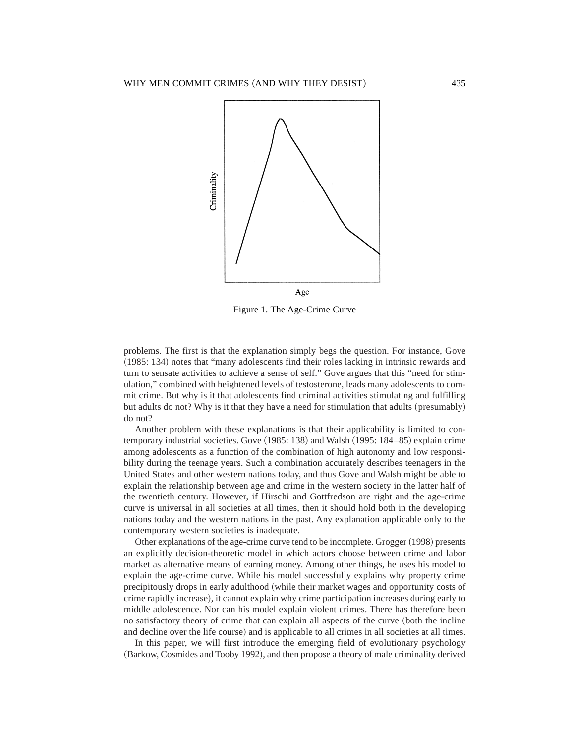

Figure 1. The Age-Crime Curve

problems. The first is that the explanation simply begs the question. For instance, Gove ~1985: 134! notes that "many adolescents find their roles lacking in intrinsic rewards and turn to sensate activities to achieve a sense of self." Gove argues that this "need for stimulation," combined with heightened levels of testosterone, leads many adolescents to commit crime. But why is it that adolescents find criminal activities stimulating and fulfilling but adults do not? Why is it that they have a need for stimulation that adults (presumably) do not?

Another problem with these explanations is that their applicability is limited to contemporary industrial societies. Gove  $(1985: 138)$  and Walsh  $(1995: 184–85)$  explain crime among adolescents as a function of the combination of high autonomy and low responsibility during the teenage years. Such a combination accurately describes teenagers in the United States and other western nations today, and thus Gove and Walsh might be able to explain the relationship between age and crime in the western society in the latter half of the twentieth century. However, if Hirschi and Gottfredson are right and the age-crime curve is universal in all societies at all times, then it should hold both in the developing nations today and the western nations in the past. Any explanation applicable only to the contemporary western societies is inadequate.

Other explanations of the age-crime curve tend to be incomplete. Grogger (1998) presents an explicitly decision-theoretic model in which actors choose between crime and labor market as alternative means of earning money. Among other things, he uses his model to explain the age-crime curve. While his model successfully explains why property crime precipitously drops in early adulthood (while their market wages and opportunity costs of crime rapidly increase), it cannot explain why crime participation increases during early to middle adolescence. Nor can his model explain violent crimes. There has therefore been no satisfactory theory of crime that can explain all aspects of the curve (both the incline and decline over the life course) and is applicable to all crimes in all societies at all times.

In this paper, we will first introduce the emerging field of evolutionary psychology (Barkow, Cosmides and Tooby 1992), and then propose a theory of male criminality derived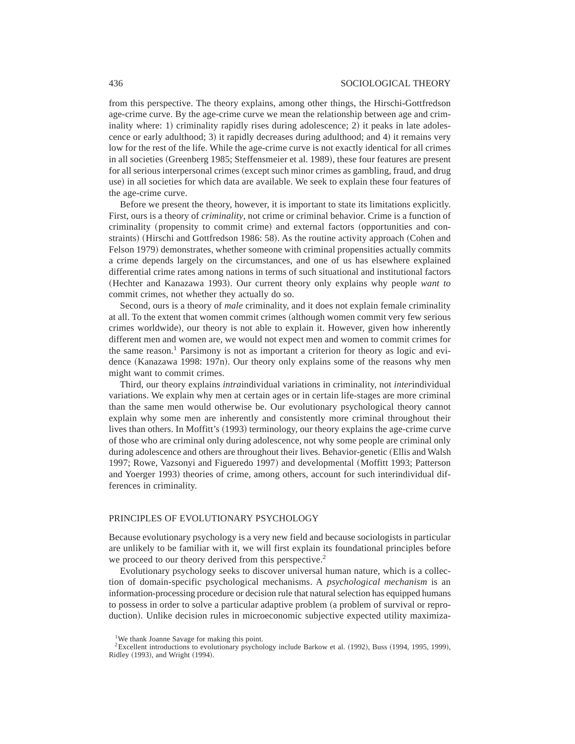from this perspective. The theory explains, among other things, the Hirschi-Gottfredson age-crime curve. By the age-crime curve we mean the relationship between age and criminality where: 1) criminality rapidly rises during adolescence; 2) it peaks in late adolescence or early adulthood; 3) it rapidly decreases during adulthood; and 4) it remains very low for the rest of the life. While the age-crime curve is not exactly identical for all crimes in all societies (Greenberg 1985; Steffensmeier et al. 1989), these four features are present for all serious interpersonal crimes (except such minor crimes as gambling, fraud, and drug use) in all societies for which data are available. We seek to explain these four features of the age-crime curve.

Before we present the theory, however, it is important to state its limitations explicitly. First, ours is a theory of *criminality*, not crime or criminal behavior. Crime is a function of criminality (propensity to commit crime) and external factors (opportunities and constraints) (Hirschi and Gottfredson 1986: 58). As the routine activity approach (Cohen and Felson 1979) demonstrates, whether someone with criminal propensities actually commits a crime depends largely on the circumstances, and one of us has elsewhere explained differential crime rates among nations in terms of such situational and institutional factors ~Hechter and Kanazawa 1993!. Our current theory only explains why people *want to* commit crimes, not whether they actually do so.

Second, ours is a theory of *male* criminality, and it does not explain female criminality at all. To the extent that women commit crimes (although women commit very few serious crimes worldwide), our theory is not able to explain it. However, given how inherently different men and women are, we would not expect men and women to commit crimes for the same reason.<sup>1</sup> Parsimony is not as important a criterion for theory as logic and evidence (Kanazawa 1998: 197n). Our theory only explains some of the reasons why men might want to commit crimes.

Third, our theory explains *intra*individual variations in criminality, not *inter*individual variations. We explain why men at certain ages or in certain life-stages are more criminal than the same men would otherwise be. Our evolutionary psychological theory cannot explain why some men are inherently and consistently more criminal throughout their lives than others. In Moffitt's (1993) terminology, our theory explains the age-crime curve of those who are criminal only during adolescence, not why some people are criminal only during adolescence and others are throughout their lives. Behavior-genetic (Ellis and Walsh 1997; Rowe, Vazsonyi and Figueredo 1997) and developmental (Moffitt 1993; Patterson and Yoerger 1993) theories of crime, among others, account for such interindividual differences in criminality.

#### PRINCIPLES OF EVOLUTIONARY PSYCHOLOGY

Because evolutionary psychology is a very new field and because sociologists in particular are unlikely to be familiar with it, we will first explain its foundational principles before we proceed to our theory derived from this perspective.<sup>2</sup>

Evolutionary psychology seeks to discover universal human nature, which is a collection of domain-specific psychological mechanisms. A *psychological mechanism* is an information-processing procedure or decision rule that natural selection has equipped humans to possess in order to solve a particular adaptive problem (a problem of survival or reproduction). Unlike decision rules in microeconomic subjective expected utility maximiza-

<sup>&</sup>lt;sup>1</sup>We thank Joanne Savage for making this point.

 ${}^{2}$ Excellent introductions to evolutionary psychology include Barkow et al. (1992), Buss (1994, 1995, 1999), Ridley (1993), and Wright (1994).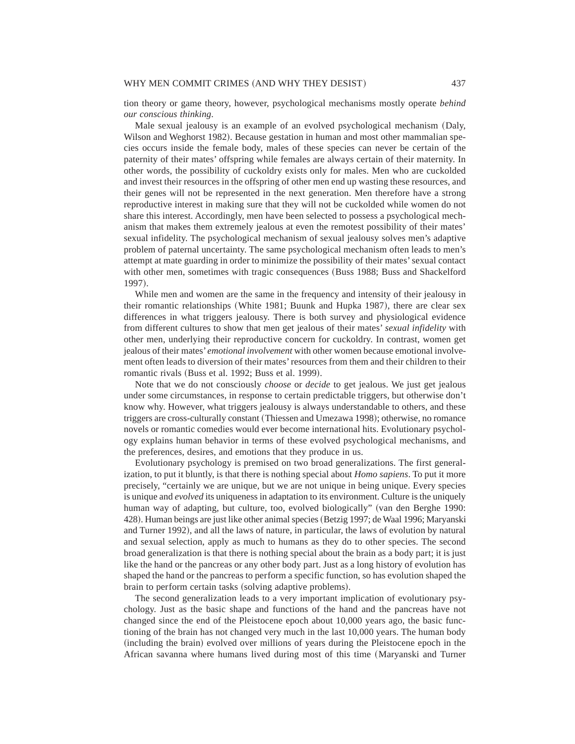tion theory or game theory, however, psychological mechanisms mostly operate *behind our conscious thinking*.

Male sexual jealousy is an example of an evolved psychological mechanism (Daly, Wilson and Weghorst 1982). Because gestation in human and most other mammalian species occurs inside the female body, males of these species can never be certain of the paternity of their mates' offspring while females are always certain of their maternity. In other words, the possibility of cuckoldry exists only for males. Men who are cuckolded and invest their resources in the offspring of other men end up wasting these resources, and their genes will not be represented in the next generation. Men therefore have a strong reproductive interest in making sure that they will not be cuckolded while women do not share this interest. Accordingly, men have been selected to possess a psychological mechanism that makes them extremely jealous at even the remotest possibility of their mates' sexual infidelity. The psychological mechanism of sexual jealousy solves men's adaptive problem of paternal uncertainty. The same psychological mechanism often leads to men's attempt at mate guarding in order to minimize the possibility of their mates' sexual contact with other men, sometimes with tragic consequences (Buss 1988; Buss and Shackelford 1997).

While men and women are the same in the frequency and intensity of their jealousy in their romantic relationships (White 1981; Buunk and Hupka 1987), there are clear sex differences in what triggers jealousy. There is both survey and physiological evidence from different cultures to show that men get jealous of their mates' *sexual infidelity* with other men, underlying their reproductive concern for cuckoldry. In contrast, women get jealous of their mates' *emotional involvement* with other women because emotional involvement often leads to diversion of their mates' resources from them and their children to their romantic rivals (Buss et al. 1992; Buss et al. 1999).

Note that we do not consciously *choose* or *decide* to get jealous. We just get jealous under some circumstances, in response to certain predictable triggers, but otherwise don't know why. However, what triggers jealousy is always understandable to others, and these triggers are cross-culturally constant (Thiessen and Umezawa 1998); otherwise, no romance novels or romantic comedies would ever become international hits. Evolutionary psychology explains human behavior in terms of these evolved psychological mechanisms, and the preferences, desires, and emotions that they produce in us.

Evolutionary psychology is premised on two broad generalizations. The first generalization, to put it bluntly, is that there is nothing special about *Homo sapiens*. To put it more precisely, "certainly we are unique, but we are not unique in being unique. Every species is unique and *evolved* its uniqueness in adaptation to its environment. Culture is the uniquely human way of adapting, but culture, too, evolved biologically" (van den Berghe 1990: 428). Human beings are just like other animal species (Betzig 1997; de Waal 1996; Maryanski and Turner 1992), and all the laws of nature, in particular, the laws of evolution by natural and sexual selection, apply as much to humans as they do to other species. The second broad generalization is that there is nothing special about the brain as a body part; it is just like the hand or the pancreas or any other body part. Just as a long history of evolution has shaped the hand or the pancreas to perform a specific function, so has evolution shaped the brain to perform certain tasks (solving adaptive problems).

The second generalization leads to a very important implication of evolutionary psychology. Just as the basic shape and functions of the hand and the pancreas have not changed since the end of the Pleistocene epoch about 10,000 years ago, the basic functioning of the brain has not changed very much in the last 10,000 years. The human body (including the brain) evolved over millions of years during the Pleistocene epoch in the African savanna where humans lived during most of this time (Maryanski and Turner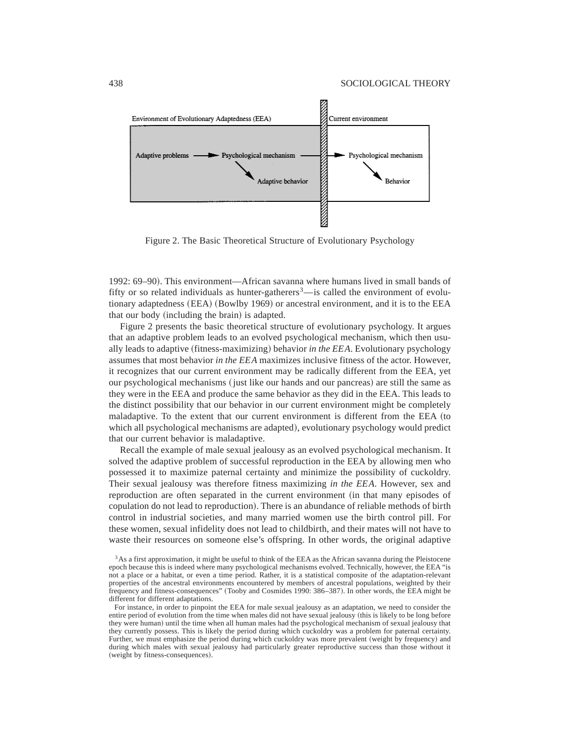

Figure 2. The Basic Theoretical Structure of Evolutionary Psychology

1992: 69–90!. This environment—African savanna where humans lived in small bands of fifty or so related individuals as hunter-gatherers<sup>3</sup>—is called the environment of evolutionary adaptedness  $(EEA)$   $(Bowlby 1969)$  or ancestral environment, and it is to the  $EEA$ that our body (including the brain) is adapted.

Figure 2 presents the basic theoretical structure of evolutionary psychology. It argues that an adaptive problem leads to an evolved psychological mechanism, which then usually leads to adaptive (fitness-maximizing) behavior *in the EEA*. Evolutionary psychology assumes that most behavior *in the EEA* maximizes inclusive fitness of the actor. However, it recognizes that our current environment may be radically different from the EEA, yet our psychological mechanisms (just like our hands and our pancreas) are still the same as they were in the EEA and produce the same behavior as they did in the EEA. This leads to the distinct possibility that our behavior in our current environment might be completely maladaptive. To the extent that our current environment is different from the EEA (to which all psychological mechanisms are adapted), evolutionary psychology would predict that our current behavior is maladaptive.

Recall the example of male sexual jealousy as an evolved psychological mechanism. It solved the adaptive problem of successful reproduction in the EEA by allowing men who possessed it to maximize paternal certainty and minimize the possibility of cuckoldry. Their sexual jealousy was therefore fitness maximizing *in the EEA*. However, sex and reproduction are often separated in the current environment (in that many episodes of copulation do not lead to reproduction!. There is an abundance of reliable methods of birth control in industrial societies, and many married women use the birth control pill. For these women, sexual infidelity does not lead to childbirth, and their mates will not have to waste their resources on someone else's offspring. In other words, the original adaptive

<sup>&</sup>lt;sup>3</sup>As a first approximation, it might be useful to think of the EEA as the African savanna during the Pleistocene epoch because this is indeed where many psychological mechanisms evolved. Technically, however, the EEA "is not a place or a habitat, or even a time period. Rather, it is a statistical composite of the adaptation-relevant properties of the ancestral environments encountered by members of ancestral populations, weighted by their frequency and fitness-consequences" (Tooby and Cosmides 1990: 386–387). In other words, the EEA might be different for different adaptations.

For instance, in order to pinpoint the EEA for male sexual jealousy as an adaptation, we need to consider the entire period of evolution from the time when males did not have sexual jealousy (this is likely to be long before they were human) until the time when all human males had the psychological mechanism of sexual jealousy that they currently possess. This is likely the period during which cuckoldry was a problem for paternal certainty. Further, we must emphasize the period during which cuckoldry was more prevalent (weight by frequency) and during which males with sexual jealousy had particularly greater reproductive success than those without it (weight by fitness-consequences).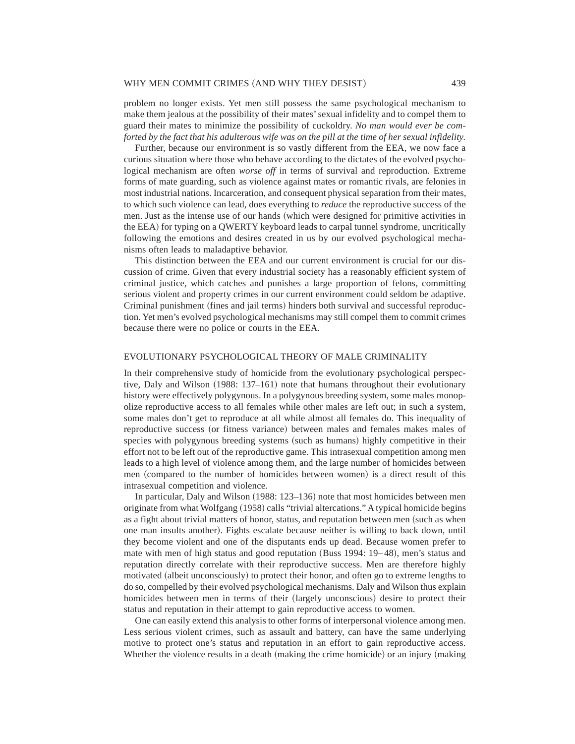problem no longer exists. Yet men still possess the same psychological mechanism to make them jealous at the possibility of their mates' sexual infidelity and to compel them to guard their mates to minimize the possibility of cuckoldry. *No man would ever be comforted by the fact that his adulterous wife was on the pill at the time of her sexual infidelity.*

Further, because our environment is so vastly different from the EEA, we now face a curious situation where those who behave according to the dictates of the evolved psychological mechanism are often *worse off* in terms of survival and reproduction. Extreme forms of mate guarding, such as violence against mates or romantic rivals, are felonies in most industrial nations. Incarceration, and consequent physical separation from their mates, to which such violence can lead, does everything to *reduce* the reproductive success of the men. Just as the intense use of our hands (which were designed for primitive activities in the EEA) for typing on a QWERTY keyboard leads to carpal tunnel syndrome, uncritically following the emotions and desires created in us by our evolved psychological mechanisms often leads to maladaptive behavior.

This distinction between the EEA and our current environment is crucial for our discussion of crime. Given that every industrial society has a reasonably efficient system of criminal justice, which catches and punishes a large proportion of felons, committing serious violent and property crimes in our current environment could seldom be adaptive. Criminal punishment (fines and jail terms) hinders both survival and successful reproduction. Yet men's evolved psychological mechanisms may still compel them to commit crimes because there were no police or courts in the EEA.

## EVOLUTIONARY PSYCHOLOGICAL THEORY OF MALE CRIMINALITY

In their comprehensive study of homicide from the evolutionary psychological perspective, Daly and Wilson (1988: 137–161) note that humans throughout their evolutionary history were effectively polygynous. In a polygynous breeding system, some males monopolize reproductive access to all females while other males are left out; in such a system, some males don't get to reproduce at all while almost all females do. This inequality of reproductive success (or fitness variance) between males and females makes males of species with polygynous breeding systems (such as humans) highly competitive in their effort not to be left out of the reproductive game. This intrasexual competition among men leads to a high level of violence among them, and the large number of homicides between men (compared to the number of homicides between women) is a direct result of this intrasexual competition and violence.

In particular, Daly and Wilson  $(1988: 123-136)$  note that most homicides between men originate from what Wolfgang (1958) calls "trivial altercations." A typical homicide begins as a fight about trivial matters of honor, status, and reputation between men (such as when one man insults another). Fights escalate because neither is willing to back down, until they become violent and one of the disputants ends up dead. Because women prefer to mate with men of high status and good reputation (Buss 1994:  $19-48$ ), men's status and reputation directly correlate with their reproductive success. Men are therefore highly motivated (albeit unconsciously) to protect their honor, and often go to extreme lengths to do so, compelled by their evolved psychological mechanisms. Daly and Wilson thus explain homicides between men in terms of their (largely unconscious) desire to protect their status and reputation in their attempt to gain reproductive access to women.

One can easily extend this analysis to other forms of interpersonal violence among men. Less serious violent crimes, such as assault and battery, can have the same underlying motive to protect one's status and reputation in an effort to gain reproductive access. Whether the violence results in a death (making the crime homicide) or an injury (making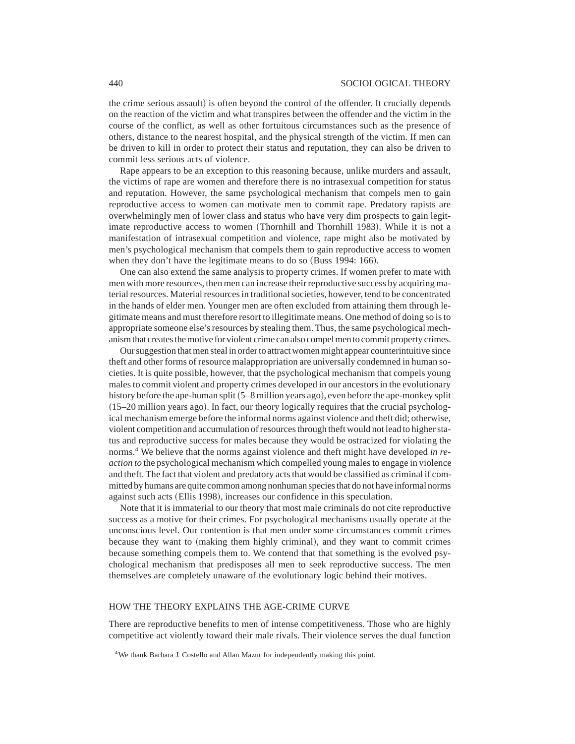the crime serious assault) is often beyond the control of the offender. It crucially depends on the reaction of the victim and what transpires between the offender and the victim in the course of the conflict, as well as other fortuitous circumstances such as the presence of others, distance to the nearest hospital, and the physical strength of the victim. If men can be driven to kill in order to protect their status and reputation, they can also be driven to commit less serious acts of violence.

Rape appears to be an exception to this reasoning because, unlike murders and assault, the victims of rape are women and therefore there is no intrasexual competition for status and reputation. However, the same psychological mechanism that compels men to gain reproductive access to women can motivate men to commit rape. Predatory rapists are overwhelmingly men of lower class and status who have very dim prospects to gain legitimate reproductive access to women (Thornhill and Thornhill 1983). While it is not a manifestation of intrasexual competition and violence, rape might also be motivated by men's psychological mechanism that compels them to gain reproductive access to women when they don't have the legitimate means to do so (Buss 1994: 166).

One can also extend the same analysis to property crimes. If women prefer to mate with men with more resources, then men can increase their reproductive success by acquiring material resources. Material resources in traditional societies, however, tend to be concentrated in the hands of elder men. Younger men are often excluded from attaining them through legitimate means and must therefore resort to illegitimate means. One method of doing so is to appropriate someone else's resources by stealing them. Thus, the same psychological mechanism that creates the motive for violent crime can also compel men to commit property crimes.

Our suggestion that men steal in order to attract women might appear counterintuitive since theft and other forms of resource malappropriation are universally condemned in human societies. It is quite possible, however, that the psychological mechanism that compels young males to commit violent and property crimes developed in our ancestors in the evolutionary history before the ape-human split  $(5–8$  million years ago), even before the ape-monkey split  $(15–20$  million years ago). In fact, our theory logically requires that the crucial psychological mechanism emerge before the informal norms against violence and theft did; otherwise, violent competition and accumulation of resources through theft would not lead to higher status and reproductive success for males because they would be ostracized for violating the norms.4 We believe that the norms against violence and theft might have developed *in reaction to* the psychological mechanism which compelled young males to engage in violence and theft. The fact that violent and predatory acts that would be classified as criminal if committed by humans are quite common among nonhuman species that do not have informal norms against such acts (Ellis 1998), increases our confidence in this speculation.

Note that it is immaterial to our theory that most male criminals do not cite reproductive success as a motive for their crimes. For psychological mechanisms usually operate at the unconscious level. Our contention is that men under some circumstances commit crimes because they want to (making them highly criminal), and they want to commit crimes because something compels them to. We contend that that something is the evolved psychological mechanism that predisposes all men to seek reproductive success. The men themselves are completely unaware of the evolutionary logic behind their motives.

#### HOW THE THEORY EXPLAINS THE AGE-CRIME CURVE

There are reproductive benefits to men of intense competitiveness. Those who are highly competitive act violently toward their male rivals. Their violence serves the dual function

<sup>4</sup>We thank Barbara J. Costello and Allan Mazur for independently making this point.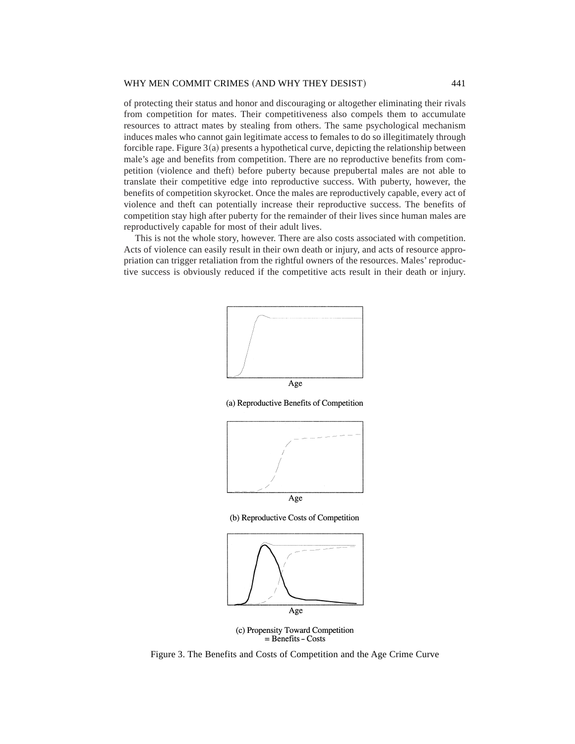of protecting their status and honor and discouraging or altogether eliminating their rivals from competition for mates. Their competitiveness also compels them to accumulate resources to attract mates by stealing from others. The same psychological mechanism induces males who cannot gain legitimate access to females to do so illegitimately through forcible rape. Figure  $3(a)$  presents a hypothetical curve, depicting the relationship between male's age and benefits from competition. There are no reproductive benefits from competition (violence and theft) before puberty because prepubertal males are not able to translate their competitive edge into reproductive success. With puberty, however, the benefits of competition skyrocket. Once the males are reproductively capable, every act of violence and theft can potentially increase their reproductive success. The benefits of competition stay high after puberty for the remainder of their lives since human males are reproductively capable for most of their adult lives.

This is not the whole story, however. There are also costs associated with competition. Acts of violence can easily result in their own death or injury, and acts of resource appropriation can trigger retaliation from the rightful owners of the resources. Males' reproductive success is obviously reduced if the competitive acts result in their death or injury.



(a) Reproductive Benefits of Competition



(b) Reproductive Costs of Competition



(c) Propensity Toward Competition  $=$  Benefits - Costs

Figure 3. The Benefits and Costs of Competition and the Age Crime Curve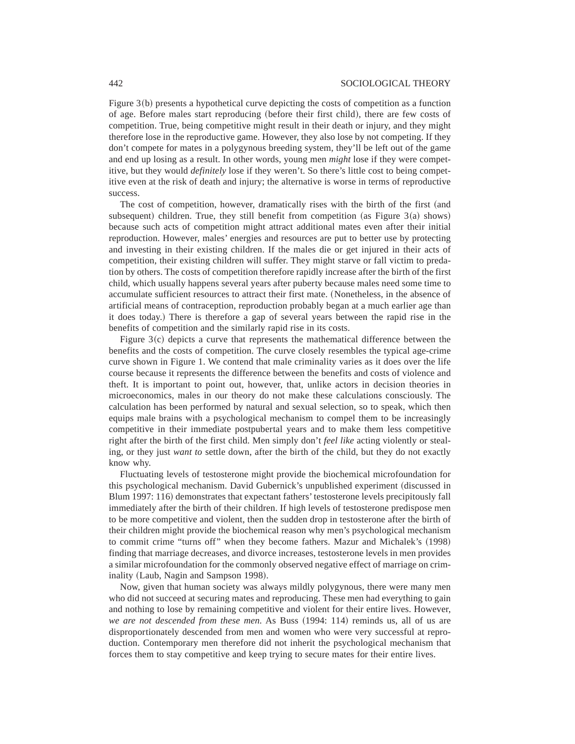Figure  $3(b)$  presents a hypothetical curve depicting the costs of competition as a function of age. Before males start reproducing (before their first child), there are few costs of competition. True, being competitive might result in their death or injury, and they might therefore lose in the reproductive game. However, they also lose by not competing. If they don't compete for mates in a polygynous breeding system, they'll be left out of the game and end up losing as a result. In other words, young men *might* lose if they were competitive, but they would *definitely* lose if they weren't. So there's little cost to being competitive even at the risk of death and injury; the alternative is worse in terms of reproductive success.

The cost of competition, however, dramatically rises with the birth of the first (and subsequent) children. True, they still benefit from competition (as Figure  $3(a)$  shows) because such acts of competition might attract additional mates even after their initial reproduction. However, males' energies and resources are put to better use by protecting and investing in their existing children. If the males die or get injured in their acts of competition, their existing children will suffer. They might starve or fall victim to predation by others. The costs of competition therefore rapidly increase after the birth of the first child, which usually happens several years after puberty because males need some time to accumulate sufficient resources to attract their first mate. (Nonetheless, in the absence of artificial means of contraception, reproduction probably began at a much earlier age than it does today.! There is therefore a gap of several years between the rapid rise in the benefits of competition and the similarly rapid rise in its costs.

Figure  $3(c)$  depicts a curve that represents the mathematical difference between the benefits and the costs of competition. The curve closely resembles the typical age-crime curve shown in Figure 1. We contend that male criminality varies as it does over the life course because it represents the difference between the benefits and costs of violence and theft. It is important to point out, however, that, unlike actors in decision theories in microeconomics, males in our theory do not make these calculations consciously. The calculation has been performed by natural and sexual selection, so to speak, which then equips male brains with a psychological mechanism to compel them to be increasingly competitive in their immediate postpubertal years and to make them less competitive right after the birth of the first child. Men simply don't *feel like* acting violently or stealing, or they just *want to* settle down, after the birth of the child, but they do not exactly know why.

Fluctuating levels of testosterone might provide the biochemical microfoundation for this psychological mechanism. David Gubernick's unpublished experiment (discussed in Blum 1997: 116) demonstrates that expectant fathers' testosterone levels precipitously fall immediately after the birth of their children. If high levels of testosterone predispose men to be more competitive and violent, then the sudden drop in testosterone after the birth of their children might provide the biochemical reason why men's psychological mechanism to commit crime "turns off" when they become fathers. Mazur and Michalek's (1998) finding that marriage decreases, and divorce increases, testosterone levels in men provides a similar microfoundation for the commonly observed negative effect of marriage on criminality (Laub, Nagin and Sampson 1998).

Now, given that human society was always mildly polygynous, there were many men who did not succeed at securing mates and reproducing. These men had everything to gain and nothing to lose by remaining competitive and violent for their entire lives. However, *we are not descended from these men.* As Buss (1994: 114) reminds us, all of us are disproportionately descended from men and women who were very successful at reproduction. Contemporary men therefore did not inherit the psychological mechanism that forces them to stay competitive and keep trying to secure mates for their entire lives.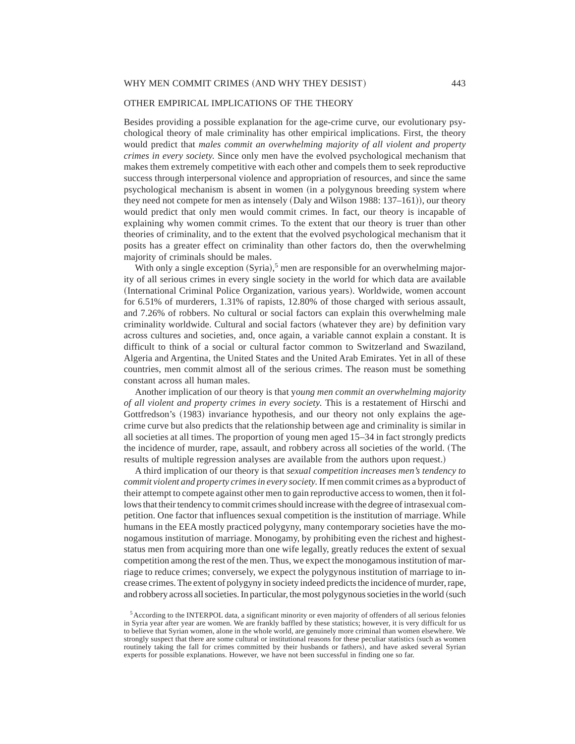#### OTHER EMPIRICAL IMPLICATIONS OF THE THEORY

Besides providing a possible explanation for the age-crime curve, our evolutionary psychological theory of male criminality has other empirical implications. First, the theory would predict that *males commit an overwhelming majority of all violent and property crimes in every society.* Since only men have the evolved psychological mechanism that makes them extremely competitive with each other and compels them to seek reproductive success through interpersonal violence and appropriation of resources, and since the same psychological mechanism is absent in women (in a polygynous breeding system where they need not compete for men as intensely (Daly and Wilson 1988:  $137-161$ )), our theory would predict that only men would commit crimes. In fact, our theory is incapable of explaining why women commit crimes. To the extent that our theory is truer than other theories of criminality, and to the extent that the evolved psychological mechanism that it posits has a greater effect on criminality than other factors do, then the overwhelming majority of criminals should be males.

With only a single exception  $(Syria)$ ,<sup>5</sup> men are responsible for an overwhelming majority of all serious crimes in every single society in the world for which data are available ~International Criminal Police Organization, various years!. Worldwide, women account for 6.51% of murderers, 1.31% of rapists, 12.80% of those charged with serious assault, and 7.26% of robbers. No cultural or social factors can explain this overwhelming male criminality worldwide. Cultural and social factors (whatever they are) by definition vary across cultures and societies, and, once again, a variable cannot explain a constant. It is difficult to think of a social or cultural factor common to Switzerland and Swaziland, Algeria and Argentina, the United States and the United Arab Emirates. Yet in all of these countries, men commit almost all of the serious crimes. The reason must be something constant across all human males.

Another implication of our theory is that y*oung men commit an overwhelming majority of all violent and property crimes in every society.* This is a restatement of Hirschi and Gottfredson's (1983) invariance hypothesis, and our theory not only explains the agecrime curve but also predicts that the relationship between age and criminality is similar in all societies at all times. The proportion of young men aged 15–34 in fact strongly predicts the incidence of murder, rape, assault, and robbery across all societies of the world. (The results of multiple regression analyses are available from the authors upon request.)

A third implication of our theory is that *sexual competition increases men's tendency to commit violent and property crimes in every society.* If men commit crimes as a byproduct of their attempt to compete against other men to gain reproductive access to women, then it follows that their tendency to commit crimes should increase with the degree of intrasexual competition. One factor that influences sexual competition is the institution of marriage. While humans in the EEA mostly practiced polygyny, many contemporary societies have the monogamous institution of marriage. Monogamy, by prohibiting even the richest and higheststatus men from acquiring more than one wife legally, greatly reduces the extent of sexual competition among the rest of the men. Thus, we expect the monogamous institution of marriage to reduce crimes; conversely, we expect the polygynous institution of marriage to increase crimes. The extent of polygyny in society indeed predicts the incidence of murder, rape, and robbery across all societies. In particular, the most polygynous societies in the world (such

<sup>5</sup>According to the INTERPOL data, a significant minority or even majority of offenders of all serious felonies in Syria year after year are women. We are frankly baffled by these statistics; however, it is very difficult for us to believe that Syrian women, alone in the whole world, are genuinely more criminal than women elsewhere. We strongly suspect that there are some cultural or institutional reasons for these peculiar statistics (such as women routinely taking the fall for crimes committed by their husbands or fathers), and have asked several Syrian experts for possible explanations. However, we have not been successful in finding one so far.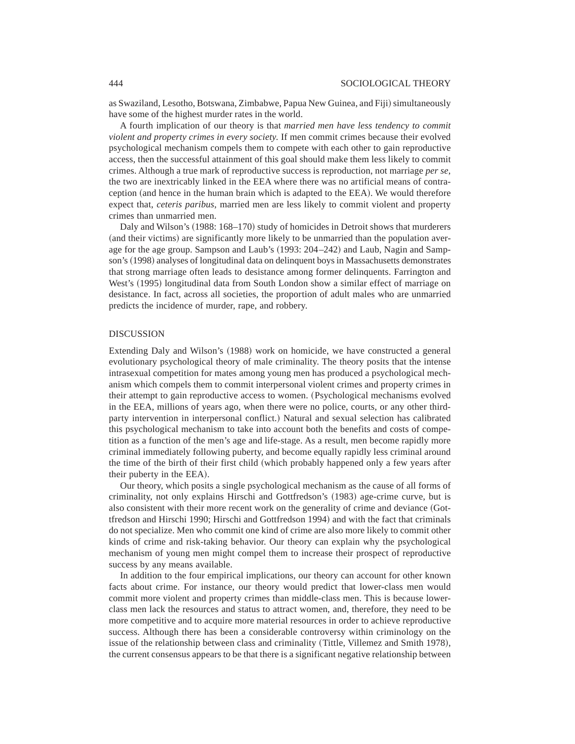as Swaziland, Lesotho, Botswana, Zimbabwe, Papua New Guinea, and Fiji) simultaneously have some of the highest murder rates in the world.

A fourth implication of our theory is that *married men have less tendency to commit violent and property crimes in every society.* If men commit crimes because their evolved psychological mechanism compels them to compete with each other to gain reproductive access, then the successful attainment of this goal should make them less likely to commit crimes. Although a true mark of reproductive success is reproduction, not marriage *per se*, the two are inextricably linked in the EEA where there was no artificial means of contraception (and hence in the human brain which is adapted to the EEA). We would therefore expect that, *ceteris paribus*, married men are less likely to commit violent and property crimes than unmarried men.

Daly and Wilson's (1988: 168–170) study of homicides in Detroit shows that murderers (and their victims) are significantly more likely to be unmarried than the population average for the age group. Sampson and Laub's (1993: 204–242) and Laub, Nagin and Sampson's (1998) analyses of longitudinal data on delinquent boys in Massachusetts demonstrates that strong marriage often leads to desistance among former delinquents. Farrington and West's (1995) longitudinal data from South London show a similar effect of marriage on desistance. In fact, across all societies, the proportion of adult males who are unmarried predicts the incidence of murder, rape, and robbery.

### **DISCUSSION**

Extending Daly and Wilson's (1988) work on homicide, we have constructed a general evolutionary psychological theory of male criminality. The theory posits that the intense intrasexual competition for mates among young men has produced a psychological mechanism which compels them to commit interpersonal violent crimes and property crimes in their attempt to gain reproductive access to women. (Psychological mechanisms evolved in the EEA, millions of years ago, when there were no police, courts, or any other thirdparty intervention in interpersonal conflict.) Natural and sexual selection has calibrated this psychological mechanism to take into account both the benefits and costs of competition as a function of the men's age and life-stage. As a result, men become rapidly more criminal immediately following puberty, and become equally rapidly less criminal around the time of the birth of their first child (which probably happened only a few years after their puberty in the EEA).

Our theory, which posits a single psychological mechanism as the cause of all forms of criminality, not only explains Hirschi and Gottfredson's (1983) age-crime curve, but is also consistent with their more recent work on the generality of crime and deviance (Gottfredson and Hirschi 1990; Hirschi and Gottfredson 1994! and with the fact that criminals do not specialize. Men who commit one kind of crime are also more likely to commit other kinds of crime and risk-taking behavior. Our theory can explain why the psychological mechanism of young men might compel them to increase their prospect of reproductive success by any means available.

In addition to the four empirical implications, our theory can account for other known facts about crime. For instance, our theory would predict that lower-class men would commit more violent and property crimes than middle-class men. This is because lowerclass men lack the resources and status to attract women, and, therefore, they need to be more competitive and to acquire more material resources in order to achieve reproductive success. Although there has been a considerable controversy within criminology on the issue of the relationship between class and criminality (Tittle, Villemez and Smith 1978), the current consensus appears to be that there is a significant negative relationship between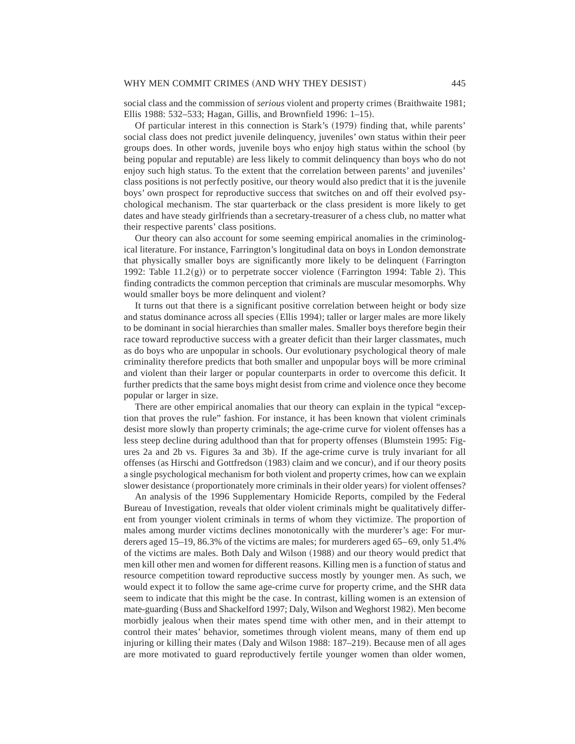social class and the commission of *serious* violent and property crimes (Braithwaite 1981; Ellis 1988: 532–533; Hagan, Gillis, and Brownfield 1996: 1–15).

Of particular interest in this connection is Stark's  $(1979)$  finding that, while parents' social class does not predict juvenile delinquency, juveniles' own status within their peer groups does. In other words, juvenile boys who enjoy high status within the school (by being popular and reputable) are less likely to commit delinquency than boys who do not enjoy such high status. To the extent that the correlation between parents' and juveniles' class positions is not perfectly positive, our theory would also predict that it is the juvenile boys' own prospect for reproductive success that switches on and off their evolved psychological mechanism. The star quarterback or the class president is more likely to get dates and have steady girlfriends than a secretary-treasurer of a chess club, no matter what their respective parents' class positions.

Our theory can also account for some seeming empirical anomalies in the criminological literature. For instance, Farrington's longitudinal data on boys in London demonstrate that physically smaller boys are significantly more likely to be delinquent (Farrington 1992: Table  $11.2(g)$  or to perpetrate soccer violence (Farrington 1994: Table 2). This finding contradicts the common perception that criminals are muscular mesomorphs. Why would smaller boys be more delinquent and violent?

It turns out that there is a significant positive correlation between height or body size and status dominance across all species (Ellis 1994); taller or larger males are more likely to be dominant in social hierarchies than smaller males. Smaller boys therefore begin their race toward reproductive success with a greater deficit than their larger classmates, much as do boys who are unpopular in schools. Our evolutionary psychological theory of male criminality therefore predicts that both smaller and unpopular boys will be more criminal and violent than their larger or popular counterparts in order to overcome this deficit. It further predicts that the same boys might desist from crime and violence once they become popular or larger in size.

There are other empirical anomalies that our theory can explain in the typical "exception that proves the rule" fashion. For instance, it has been known that violent criminals desist more slowly than property criminals; the age-crime curve for violent offenses has a less steep decline during adulthood than that for property offenses (Blumstein 1995: Figures 2a and 2b vs. Figures 3a and 3b). If the age-crime curve is truly invariant for all offenses (as Hirschi and Gottfredson (1983) claim and we concur), and if our theory posits a single psychological mechanism for both violent and property crimes, how can we explain slower desistance (proportionately more criminals in their older years) for violent offenses?

An analysis of the 1996 Supplementary Homicide Reports, compiled by the Federal Bureau of Investigation, reveals that older violent criminals might be qualitatively different from younger violent criminals in terms of whom they victimize. The proportion of males among murder victims declines monotonically with the murderer's age: For murderers aged 15–19, 86.3% of the victims are males; for murderers aged 65– 69, only 51.4% of the victims are males. Both Daly and Wilson (1988) and our theory would predict that men kill other men and women for different reasons. Killing men is a function of status and resource competition toward reproductive success mostly by younger men. As such, we would expect it to follow the same age-crime curve for property crime, and the SHR data seem to indicate that this might be the case. In contrast, killing women is an extension of mate-guarding (Buss and Shackelford 1997; Daly, Wilson and Weghorst 1982). Men become morbidly jealous when their mates spend time with other men, and in their attempt to control their mates' behavior, sometimes through violent means, many of them end up injuring or killing their mates (Daly and Wilson 1988:  $187–219$ ). Because men of all ages are more motivated to guard reproductively fertile younger women than older women,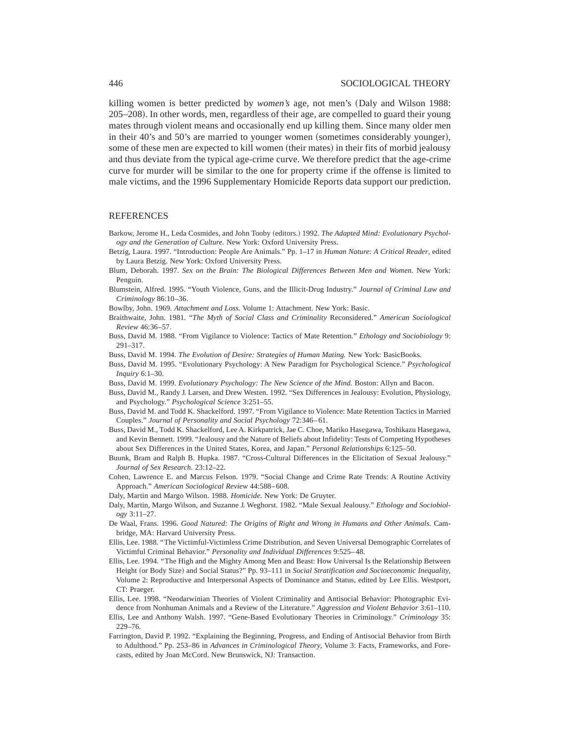killing women is better predicted by *women's* age, not men's (Daly and Wilson 1988: 205–208!. In other words, men, regardless of their age, are compelled to guard their young mates through violent means and occasionally end up killing them. Since many older men in their  $40$ 's and  $50$ 's are married to younger women (sometimes considerably younger), some of these men are expected to kill women (their mates) in their fits of morbid jealousy and thus deviate from the typical age-crime curve. We therefore predict that the age-crime curve for murder will be similar to the one for property crime if the offense is limited to male victims, and the 1996 Supplementary Homicide Reports data support our prediction.

#### **REFERENCES**

- Barkow, Jerome H., Leda Cosmides, and John Tooby (editors.) 1992. *The Adapted Mind: Evolutionary Psychology and the Generation of Culture.* New York: Oxford University Press.
- Betzig, Laura. 1997. "Introduction: People Are Animals." Pp. 1–17 in *Human Nature: A Critical Reader*, edited by Laura Betzig. New York: Oxford University Press.
- Blum, Deborah. 1997. *Sex on the Brain: The Biological Differences Between Men and Women.* New York: Penguin.
- Blumstein, Alfred. 1995. "Youth Violence, Guns, and the Illicit-Drug Industry." *Journal of Criminal Law and Criminology* 86:10–36.
- Bowlby, John. 1969. *Attachment and Loss.* Volume 1: Attachment. New York: Basic.
- Braithwaite, John. 1981. "*The Myth of Social Class and Criminality* Reconsidered." *American Sociological Review* 46:36–57.
- Buss, David M. 1988. "From Vigilance to Violence: Tactics of Mate Retention." *Ethology and Sociobiology* 9: 291–317.
- Buss, David M. 1994. *The Evolution of Desire: Strategies of Human Mating.* New York: BasicBooks.
- Buss, David M. 1995. "Evolutionary Psychology: A New Paradigm for Psychological Science." *Psychological Inquiry* 6:1–30.
- Buss, David M. 1999. *Evolutionary Psychology: The New Science of the Mind.* Boston: Allyn and Bacon.
- Buss, David M., Randy J. Larsen, and Drew Westen. 1992. "Sex Differences in Jealousy: Evolution, Physiology, and Psychology." *Psychological Science* 3:251–55.
- Buss, David M. and Todd K. Shackelford. 1997. "From Vigilance to Violence: Mate Retention Tactics in Married Couples." *Journal of Personality and Social Psychology* 72:346–61.
- Buss, David M., Todd K. Shackelford, Lee A. Kirkpatrick, Jae C. Choe, Mariko Hasegawa, Toshikazu Hasegawa, and Kevin Bennett. 1999. "Jealousy and the Nature of Beliefs about Infidelity: Tests of Competing Hypotheses about Sex Differences in the United States, Korea, and Japan." *Personal Relationships* 6:125–50.
- Buunk, Bram and Ralph B. Hupka. 1987. "Cross-Cultural Differences in the Elicitation of Sexual Jealousy." *Journal of Sex Research.* 23:12–22.
- Cohen, Lawrence E. and Marcus Felson. 1979. "Social Change and Crime Rate Trends: A Routine Activity Approach." *American Sociological Review* 44:588–608.
- Daly, Martin and Margo Wilson. 1988. *Homicide.* New York: De Gruyter.
- Daly, Martin, Margo Wilson, and Suzanne J. Weghorst. 1982. "Male Sexual Jealousy." *Ethology and Sociobiology* 3:11–27.
- De Waal, Frans. 1996. *Good Natured: The Origins of Right and Wrong in Humans and Other Animals.* Cambridge, MA: Harvard University Press.
- Ellis, Lee. 1988. "The Victimful-Victimless Crime Distribution, and Seven Universal Demographic Correlates of Victimful Criminal Behavior." *Personality and Individual Differences* 9:525–48.
- Ellis, Lee. 1994. "The High and the Mighty Among Men and Beast: How Universal Is the Relationship Between Height (or Body Size) and Social Status?" Pp. 93-111 in Social Stratification and Socioeconomic Inequality, Volume 2: Reproductive and Interpersonal Aspects of Dominance and Status, edited by Lee Ellis. Westport, CT: Praeger.
- Ellis, Lee. 1998. "Neodarwinian Theories of Violent Criminality and Antisocial Behavior: Photographic Evidence from Nonhuman Animals and a Review of the Literature." *Aggression and Violent Behavior* 3:61–110.
- Ellis, Lee and Anthony Walsh. 1997. "Gene-Based Evolutionary Theories in Criminology." *Criminology* 35: 229–76.
- Farrington, David P. 1992. "Explaining the Beginning, Progress, and Ending of Antisocial Behavior from Birth to Adulthood." Pp. 253–86 in *Advances in Criminological Theory,* Volume 3: Facts, Frameworks, and Forecasts, edited by Joan McCord. New Brunswick, NJ: Transaction.